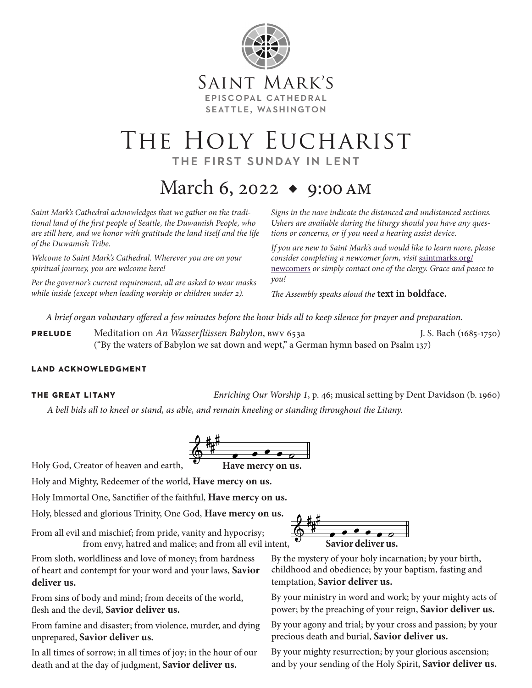

# THE HOLY EUCHARIST the first sunday in lent

# March 6, 2022 ◆ 9:00am

*Saint Mark's Cathedral acknowledges that we gather on the traditional land of the first people of Seattle, the Duwamish People, who are still here, and we honor with gratitude the land itself and the life of the Duwamish Tribe.* 

*Welcome to Saint Mark's Cathedral. Wherever you are on your spiritual journey, you are welcome here!*

*Per the governor's current requirement, all are asked to wear masks while inside (except when leading worship or children under 2).*

*Signs in the nave indicate the distanced and undistanced sections. Ushers are available during the liturgy should you have any questions or concerns, or if you need a hearing assist device.*

*If you are new to Saint Mark's and would like to learn more, please consider completing a newcomer form, visit* [saintmarks.org/](https://saintmarks.org/im-new/im-new-here/) [newcomers](https://saintmarks.org/im-new/im-new-here/) *or simply contact one of the clergy. Grace and peace to you!*

*The Assembly speaks aloud the* **text in boldface.**

*A brief organ voluntary offered a few minutes before the hour bids all to keep silence for prayer and preparation.*

**PRELUDE** Meditation on *An Wasserflüssen Babylon*, bwv 653a J. S. Bach (1685-1750) ("By the waters of Babylon we sat down and wept," a German hymn based on Psalm 137)

## **land acknowledgment**

**the great litany** *Enriching Our Worship 1*, p. 46; musical setting by Dent Davidson (b. 1960) *A bell bids all to kneel or stand, as able, and remain kneeling or standing throughout the Litany.* 



Holy God, Creator of heaven and earth,

Holy and Mighty, Redeemer of the world, **Have mercy on us.**

Holy Immortal One, Sanctifier of the faithful, **Have mercy on us.**

Holy, blessed and glorious Trinity, One God, **Have mercy on us.**

From all evil and mischief; from pride, vanity and hypocrisy; from envy, hatred and malice; and from all evil intent,

From sloth, worldliness and love of money; from hardness of heart and contempt for your word and your laws, **Savior deliver us.**

From sins of body and mind; from deceits of the world, flesh and the devil, **Savior deliver us.**

From famine and disaster; from violence, murder, and dying unprepared, **Savior deliver us.**

In all times of sorrow; in all times of joy; in the hour of our death and at the day of judgment, **Savior deliver us.** 



By the mystery of your holy incarnation; by your birth, childhood and obedience; by your baptism, fasting and temptation, **Savior deliver us.**

By your ministry in word and work; by your mighty acts of power; by the preaching of your reign, **Savior deliver us.**

By your agony and trial; by your cross and passion; by your precious death and burial, **Savior deliver us.**

By your mighty resurrection; by your glorious ascension; and by your sending of the Holy Spirit, **Savior deliver us.**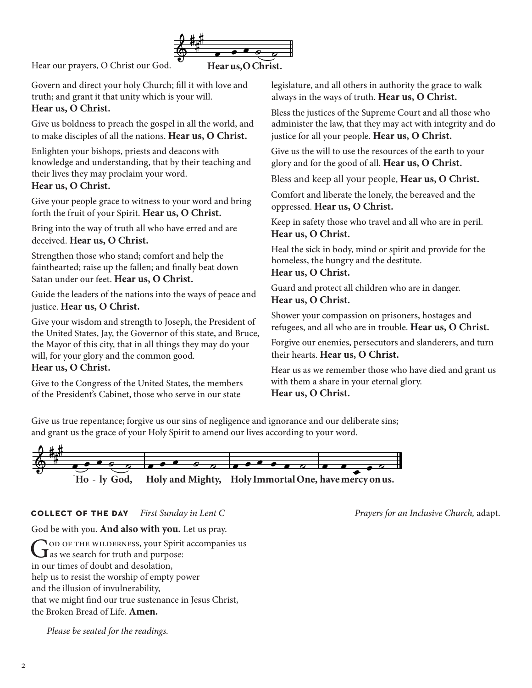Hear our prayers, O Christ our God.



Govern and direct your holy Church; fill it with love and truth; and grant it that unity which is your will. **Hear us, O Christ.**

Give us boldness to preach the gospel in all the world, and to make disciples of all the nations. **Hear us, O Christ.**

Enlighten your bishops, priests and deacons with knowledge and understanding, that by their teaching and their lives they may proclaim your word.

## **Hear us, O Christ.**

Give your people grace to witness to your word and bring forth the fruit of your Spirit. **Hear us, O Christ.**

Bring into the way of truth all who have erred and are deceived. **Hear us, O Christ.**

Strengthen those who stand; comfort and help the fainthearted; raise up the fallen; and finally beat down Satan under our feet. **Hear us, O Christ.**

Guide the leaders of the nations into the ways of peace and justice. **Hear us, O Christ.**

Give your wisdom and strength to Joseph, the President of the United States, Jay, the Governor of this state, and Bruce, the Mayor of this city, that in all things they may do your will, for your glory and the common good.

## **Hear us, O Christ.**

Give to the Congress of the United States, the members of the President's Cabinet, those who serve in our state

legislature, and all others in authority the grace to walk always in the ways of truth. **Hear us, O Christ.**

Bless the justices of the Supreme Court and all those who administer the law, that they may act with integrity and do justice for all your people. **Hear us, O Christ.**

Give us the will to use the resources of the earth to your glory and for the good of all. **Hear us, O Christ.**

Bless and keep all your people, **Hear us, O Christ.**

Comfort and liberate the lonely, the bereaved and the oppressed. **Hear us, O Christ.**

Keep in safety those who travel and all who are in peril. **Hear us, O Christ.**

Heal the sick in body, mind or spirit and provide for the homeless, the hungry and the destitute. **Hear us, O Christ.**

Guard and protect all children who are in danger. **Hear us, O Christ.**

Shower your compassion on prisoners, hostages and refugees, and all who are in trouble. **Hear us, O Christ.**

Forgive our enemies, persecutors and slanderers, and turn their hearts. **Hear us, O Christ.**

Hear us as we remember those who have died and grant us with them a share in your eternal glory. **Hear us, O Christ.**

Give us true repentance; forgive us our sins of negligence and ignorance and our deliberate sins; and grant us the grace of your Holy Spirit to amend our lives according to your word.



### **collect of the day** *First Sunday in Lent C Prayers for an Inclusive Church,* adapt.

God be with you. **And also with you.** Let us pray.

GOD OF THE WILDERNESS, your Spirit accompanies us<br>
as we search for truth and purpose: in our times of doubt and desolation, help us to resist the worship of empty power and the illusion of invulnerability, that we might find our true sustenance in Jesus Christ, the Broken Bread of Life. **Amen.**

*Please be seated for the readings.*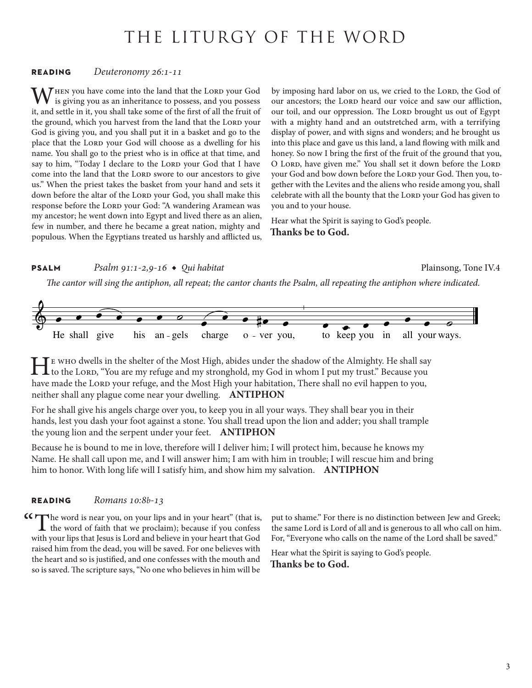# THE LITURGY OF THE WORD

### **reading** *Deuteronomy 26:1-11*

 $\mathbf{W}$  is giving you as an inheritance to possess, and you possess it, and settle in it, you shall take some of the first of all the fruit of the ground, which you harvest from the land that the LORD your God is giving you, and you shall put it in a basket and go to the place that the LORD your God will choose as a dwelling for his name. You shall go to the priest who is in office at that time, and say to him, "Today I declare to the LORD your God that I have come into the land that the LORD swore to our ancestors to give us." When the priest takes the basket from your hand and sets it down before the altar of the LORD your God, you shall make this response before the LORD your God: "A wandering Aramean was my ancestor; he went down into Egypt and lived there as an alien, few in number, and there he became a great nation, mighty and populous. When the Egyptians treated us harshly and afflicted us, by imposing hard labor on us, we cried to the LORD, the God of our ancestors; the LORD heard our voice and saw our affliction, our toil, and our oppression. The LORD brought us out of Egypt with a mighty hand and an outstretched arm, with a terrifying display of power, and with signs and wonders; and he brought us into this place and gave us this land, a land flowing with milk and honey. So now I bring the first of the fruit of the ground that you, O LORD, have given me." You shall set it down before the LORD your God and bow down before the LORD your God. Then you, together with the Levites and the aliens who reside among you, shall celebrate with all the bounty that the LORD your God has given to you and to your house.

Hear what the Spirit is saying to God's people. **Thanks be to God.**







He who dwells in the shelter of the Most High, abides under the shadow of the Almighty. He shall say<br>to the Lord, "You are my refuge and my stronghold, my God in whom I put my trust." Because you have made the LORD your refuge, and the Most High your habitation, There shall no evil happen to you, neither shall any plague come near your dwelling. **ANTIPHON**

For he shall give his angels charge over you, to keep you in all your ways. They shall bear you in their hands, lest you dash your foot against a stone. You shall tread upon the lion and adder; you shall trample the young lion and the serpent under your feet. **ANTIPHON**

Because he is bound to me in love, therefore will I deliver him; I will protect him, because he knows my Name. He shall call upon me, and I will answer him; I am with him in trouble; I will rescue him and bring him to honor. With long life will I satisfy him, and show him my salvation. **ANTIPHON**

#### **reading** *Romans 10:8b-13*

 $\mathcal{C}(\mathcal{C})$  The word is near you, on your lips and in your heart" (that is, the word of faith that we proclaim); because if you confess with your lips that Jesus is Lord and believe in your heart that God raised him from the dead, you will be saved. For one believes with the heart and so is justified, and one confesses with the mouth and so is saved. The scripture says, "No one who believes in him will be

put to shame." For there is no distinction between Jew and Greek; the same Lord is Lord of all and is generous to all who call on him. For, "Everyone who calls on the name of the Lord shall be saved."

Hear what the Spirit is saying to God's people. **Thanks be to God.**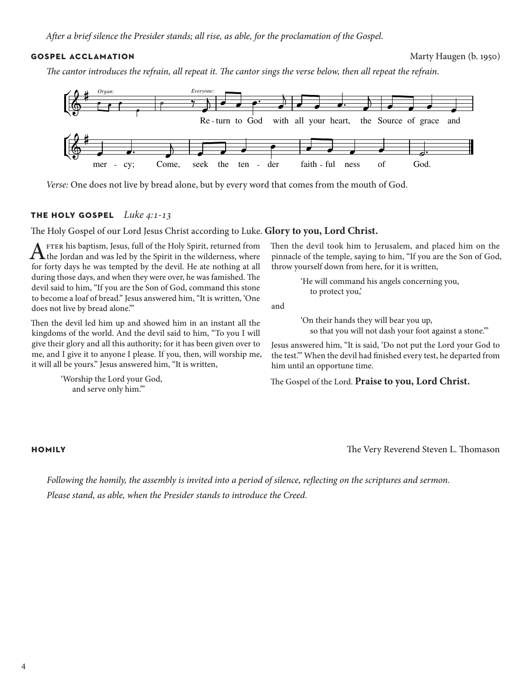#### **GOSPEL ACCLAMATION** Marty Haugen (b. 1950)

*The cantor introduces the refrain, all repeat it. The cantor sings the verse below, then all repeat the refrain.*



*Verse:* One does not live by bread alone, but by every word that comes from the mouth of God.

### **the holy gospel** *Luke 4:1-13*

The Holy Gospel of our Lord Jesus Christ according to Luke. **Glory to you, Lord Christ.**

After his baptism, Jesus, full of the Holy Spirit, returned from the Jordan and was led by the Spirit in the wilderness, where for forty days he was tempted by the devil. He ate nothing at all during those days, and when they were over, he was famished. The devil said to him, "If you are the Son of God, command this stone to become a loaf of bread." Jesus answered him, "It is written, 'One does not live by bread alone.'"

Then the devil led him up and showed him in an instant all the kingdoms of the world. And the devil said to him, "To you I will give their glory and all this authority; for it has been given over to me, and I give it to anyone I please. If you, then, will worship me, it will all be yours." Jesus answered him, "It is written,

> 'Worship the Lord your God, and serve only him.'"

Then the devil took him to Jerusalem, and placed him on the pinnacle of the temple, saying to him, "If you are the Son of God, throw yourself down from here, for it is written,

> 'He will command his angels concerning you, to protect you,'

and

'On their hands they will bear you up, so that you will not dash your foot against a stone."

Jesus answered him, "It is said, 'Do not put the Lord your God to the test.'" When the devil had finished every test, he departed from him until an opportune time.

The Gospel of the Lord. **Praise to you, Lord Christ.**

**homily** The Very Reverend Steven L. Thomason

*Following the homily, the assembly is invited into a period of silence, reflecting on the scriptures and sermon. Please stand, as able, when the Presider stands to introduce the Creed.*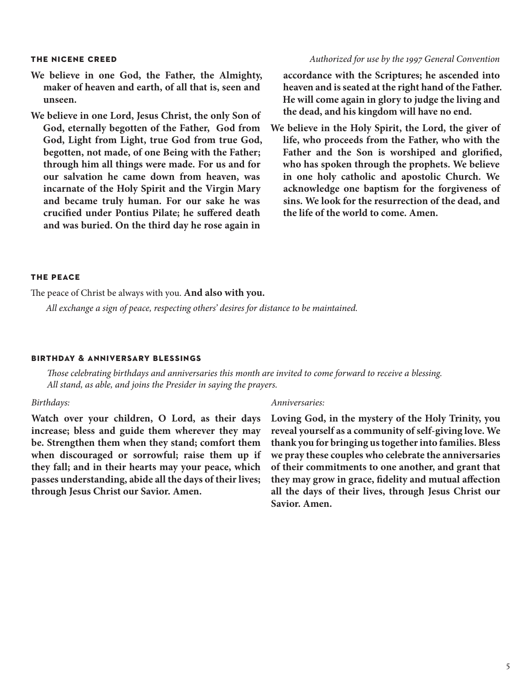- **We believe in one God, the Father, the Almighty, maker of heaven and earth, of all that is, seen and unseen.**
- **We believe in one Lord, Jesus Christ, the only Son of God, eternally begotten of the Father, God from God, Light from Light, true God from true God, begotten, not made, of one Being with the Father; through him all things were made. For us and for our salvation he came down from heaven, was incarnate of the Holy Spirit and the Virgin Mary and became truly human. For our sake he was crucified under Pontius Pilate; he suffered death and was buried. On the third day he rose again in**

#### **the nicene creed** *Authorized for use by the 1997 General Convention*

**accordance with the Scriptures; he ascended into heaven and is seated at the right hand of the Father. He will come again in glory to judge the living and the dead, and his kingdom will have no end.**

**We believe in the Holy Spirit, the Lord, the giver of life, who proceeds from the Father, who with the Father and the Son is worshiped and glorified, who has spoken through the prophets. We believe in one holy catholic and apostolic Church. We acknowledge one baptism for the forgiveness of sins. We look for the resurrection of the dead, and the life of the world to come. Amen.**

#### **the peace**

The peace of Christ be always with you. **And also with you.**

*All exchange a sign of peace, respecting others' desires for distance to be maintained.* 

### **birthday & anniversary blessings**

*Those celebrating birthdays and anniversaries this month are invited to come forward to receive a blessing. All stand, as able, and joins the Presider in saying the prayers.*

#### *Birthdays:*

**Watch over your children, O Lord, as their days increase; bless and guide them wherever they may be. Strengthen them when they stand; comfort them when discouraged or sorrowful; raise them up if they fall; and in their hearts may your peace, which passes understanding, abide all the days of their lives; through Jesus Christ our Savior. Amen.**

#### *Anniversaries:*

**Loving God, in the mystery of the Holy Trinity, you reveal yourself as a community of self-giving love. We thank you for bringing us together into families. Bless we pray these couples who celebrate the anniversaries of their commitments to one another, and grant that they may grow in grace, fidelity and mutual affection all the days of their lives, through Jesus Christ our Savior. Amen.**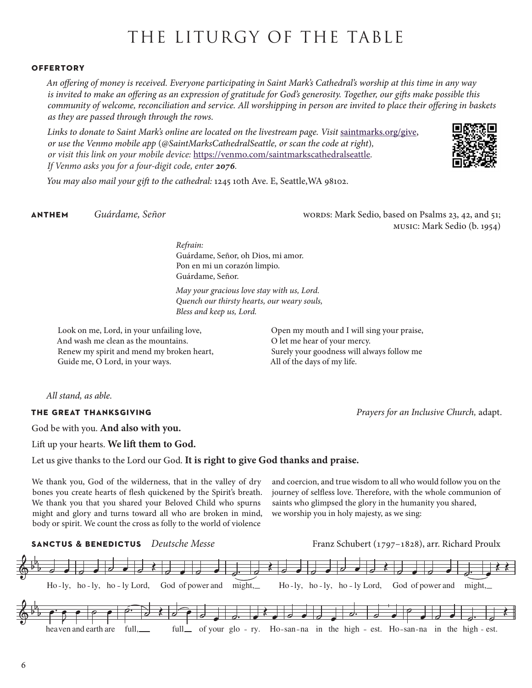# THE LITURGY OF THE TABLE

#### **offertory**

*An offering of money is received. Everyone participating in Saint Mark's Cathedral's worship at this time in any way*  is invited to make an offering as an expression of gratitude for God's generosity. Together, our gifts make possible this *community of welcome, reconciliation and service. All worshipping in person are invited to place their offering in baskets as they are passed through through the rows.* 

Links to donate to Saint Mark's online are located on the livestream page. Visit [saintmarks.org/give](http://saintmarks.org/give), *or use the Venmo mobile app* (*@SaintMarksCathedralSeattle, or scan the code at right*)*, or visit this link on your mobile device:* <https://venmo.com/saintmarkscathedralseattle>*. If Venmo asks you for a four-digit code, enter 2076.*



*You may also mail your gift to the cathedral:* 1245 10th Ave. E, Seattle,WA 98102.

**anthem** *Guárdame, Señor Guárdame, Señor more series and the words: Mark Sedio, based on Psalms 23, 42, and 51;* music: Mark Sedio (b. 1954)

> *Refrain:* Guárdame, Señor, oh Dios, mi amor. Pon en mi un corazón limpio. Guárdame, Señor.

*May your gracious love stay with us, Lord. Quench our thirsty hearts, our weary souls, Bless and keep us, Lord.*

Look on me, Lord, in your unfailing love, And wash me clean as the mountains. Renew my spirit and mend my broken heart, Guide me, O Lord, in your ways.

Open my mouth and I will sing your praise, O let me hear of your mercy. Surely your goodness will always follow me All of the days of my life.

*All stand, as able.*

**the great thanksgiving** *Prayers for an Inclusive Church,* adapt.

God be with you. **And also with you.** 

Lift up your hearts. **We lift them to God.** 

Let us give thanks to the Lord our God. **It is right to give God thanks and praise.**

We thank you, God of the wilderness, that in the valley of dry bones you create hearts of flesh quickened by the Spirit's breath. We thank you that you shared your Beloved Child who spurns might and glory and turns toward all who are broken in mind, body or spirit. We count the cross as folly to the world of violence

and coercion, and true wisdom to all who would follow you on the journey of selfless love. Therefore, with the whole communion of saints who glimpsed the glory in the humanity you shared, we worship you in holy majesty, as we sing:

**SANCTUS & BENEDICTUS** Deutsche Messe Franz Schubert (1797–1828), arr. Richard Proulx

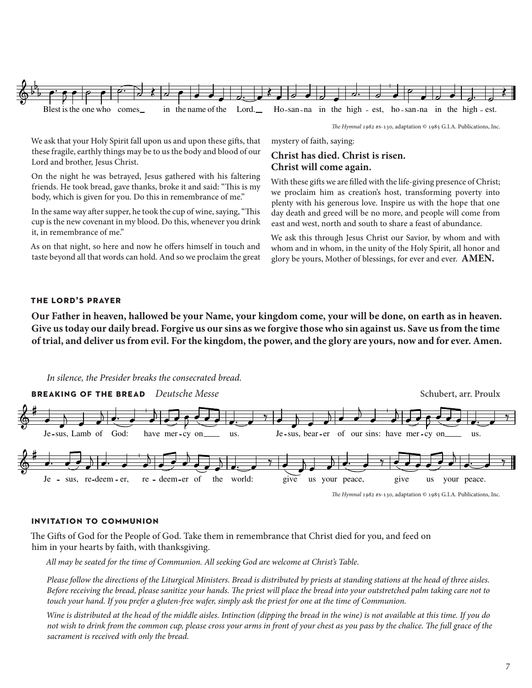

*The Hymnal 1982* #s-130, adaptation © 1985 G.I.A. Publications, Inc.

We ask that your Holy Spirit fall upon us and upon these gifts, that these fragile, earthly things may be to us the body and blood of our Lord and brother, Jesus Christ.

On the night he was betrayed, Jesus gathered with his faltering friends. He took bread, gave thanks, broke it and said: "This is my body, which is given for you. Do this in remembrance of me."

In the same way after supper, he took the cup of wine, saying, "This cup is the new covenant in my blood. Do this, whenever you drink it, in remembrance of me."

As on that night, so here and now he offers himself in touch and taste beyond all that words can hold. And so we proclaim the great mystery of faith, saying:

# **Christ has died. Christ is risen. Christ will come again.**

With these gifts we are filled with the life-giving presence of Christ; we proclaim him as creation's host, transforming poverty into plenty with his generous love. Inspire us with the hope that one day death and greed will be no more, and people will come from east and west, north and south to share a feast of abundance.

We ask this through Jesus Christ our Savior, by whom and with whom and in whom, in the unity of the Holy Spirit, all honor and glory be yours, Mother of blessings, for ever and ever. **AMEN.**

### **the lord's prayer**

**Our Father in heaven, hallowed be your Name, your kingdom come, your will be done, on earth as in heaven. Give us today our daily bread. Forgive us our sins as we forgive those who sin against us. Save us from the time of trial, and deliver us from evil. For the kingdom, the power, and the glory are yours, now and for ever. Amen.**



#### **invitation to communion**

The Gifts of God for the People of God. Take them in remembrance that Christ died for you, and feed on him in your hearts by faith, with thanksgiving.

*All may be seated for the time of Communion. All seeking God are welcome at Christ's Table.* 

*Please follow the directions of the Liturgical Ministers. Bread is distributed by priests at standing stations at the head of three aisles. Before receiving the bread, please sanitize your hands. The priest will place the bread into your outstretched palm taking care not to touch your hand. If you prefer a gluten-free wafer, simply ask the priest for one at the time of Communion.*

*Wine is distributed at the head of the middle aisles. Intinction (dipping the bread in the wine) is not available at this time. If you do not wish to drink from the common cup, please cross your arms in front of your chest as you pass by the chalice. The full grace of the sacrament is received with only the bread.*